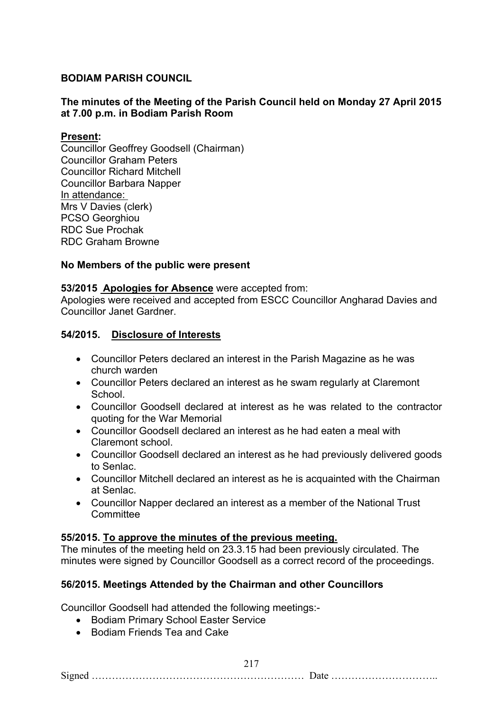# **BODIAM PARISH COUNCIL**

# **The minutes of the Meeting of the Parish Council held on Monday 27 April 2015 at 7.00 p.m. in Bodiam Parish Room**

## **Present:**

Councillor Geoffrey Goodsell (Chairman) Councillor Graham Peters Councillor Richard Mitchell Councillor Barbara Napper In attendance: Mrs V Davies (clerk) PCSO Georghiou RDC Sue Prochak RDC Graham Browne

## **No Members of the public were present**

## **53/2015 Apologies for Absence** were accepted from:

Apologies were received and accepted from ESCC Councillor Angharad Davies and Councillor Janet Gardner.

## **54/2015. Disclosure of Interests**

- Councillor Peters declared an interest in the Parish Magazine as he was church warden
- Councillor Peters declared an interest as he swam regularly at Claremont School.
- Councillor Goodsell declared at interest as he was related to the contractor quoting for the War Memorial
- Councillor Goodsell declared an interest as he had eaten a meal with Claremont school.
- Councillor Goodsell declared an interest as he had previously delivered goods to Senlac.
- Councillor Mitchell declared an interest as he is acquainted with the Chairman at Senlac.
- Councillor Napper declared an interest as a member of the National Trust **Committee**

## **55/2015. To approve the minutes of the previous meeting.**

The minutes of the meeting held on 23.3.15 had been previously circulated. The minutes were signed by Councillor Goodsell as a correct record of the proceedings.

# **56/2015. Meetings Attended by the Chairman and other Councillors**

Councillor Goodsell had attended the following meetings:-

- Bodiam Primary School Easter Service
- Bodiam Friends Tea and Cake

217 Signed ……………………………………………………… Date …………………………..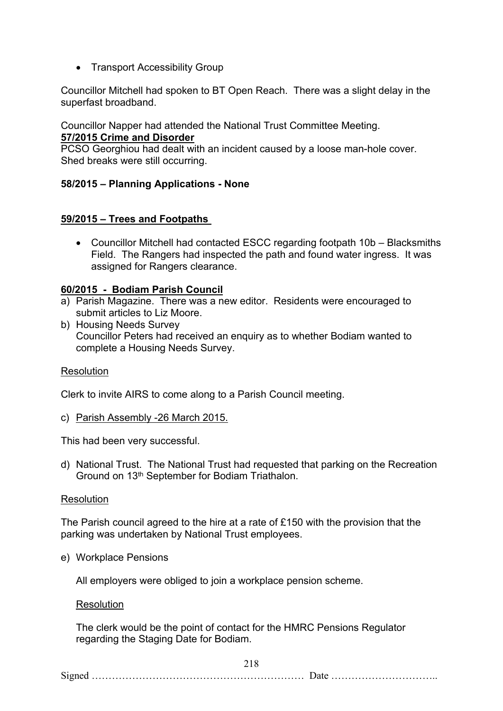• Transport Accessibility Group

Councillor Mitchell had spoken to BT Open Reach. There was a slight delay in the superfast broadband.

Councillor Napper had attended the National Trust Committee Meeting. **57/2015 Crime and Disorder**

PCSO Georghiou had dealt with an incident caused by a loose man-hole cover. Shed breaks were still occurring.

# **58/2015 – Planning Applications - None**

## **59/2015 – Trees and Footpaths**

 Councillor Mitchell had contacted ESCC regarding footpath 10b – Blacksmiths Field. The Rangers had inspected the path and found water ingress. It was assigned for Rangers clearance.

### **60/2015 - Bodiam Parish Council**

- a) Parish Magazine. There was a new editor. Residents were encouraged to submit articles to Liz Moore.
- b) Housing Needs Survey Councillor Peters had received an enquiry as to whether Bodiam wanted to complete a Housing Needs Survey.

### Resolution

Clerk to invite AIRS to come along to a Parish Council meeting.

c) Parish Assembly -26 March 2015.

This had been very successful.

d) National Trust. The National Trust had requested that parking on the Recreation Ground on 13th September for Bodiam Triathalon.

### **Resolution**

The Parish council agreed to the hire at a rate of £150 with the provision that the parking was undertaken by National Trust employees.

e) Workplace Pensions

All employers were obliged to join a workplace pension scheme.

### Resolution

The clerk would be the point of contact for the HMRC Pensions Regulator regarding the Staging Date for Bodiam.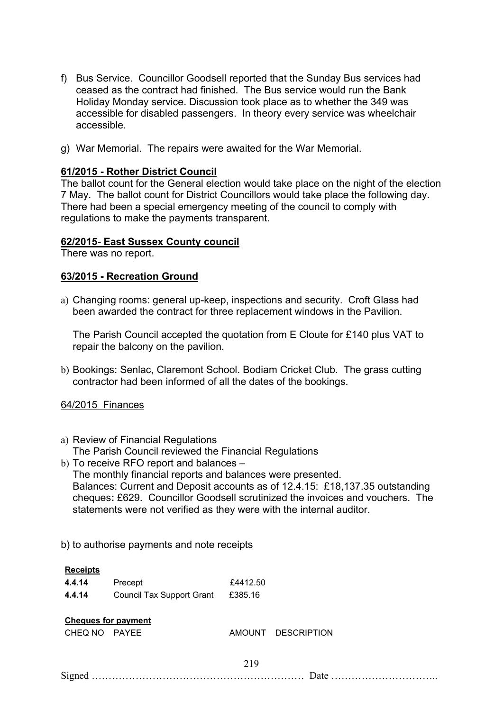- f) Bus Service. Councillor Goodsell reported that the Sunday Bus services had ceased as the contract had finished. The Bus service would run the Bank Holiday Monday service. Discussion took place as to whether the 349 was accessible for disabled passengers. In theory every service was wheelchair accessible.
- g) War Memorial. The repairs were awaited for the War Memorial.

## **61/2015 - Rother District Council**

The ballot count for the General election would take place on the night of the election 7 May. The ballot count for District Councillors would take place the following day. There had been a special emergency meeting of the council to comply with regulations to make the payments transparent.

## **62/2015- East Sussex County council**

There was no report.

## **63/2015 - Recreation Ground**

a) Changing rooms: general up-keep, inspections and security. Croft Glass had been awarded the contract for three replacement windows in the Pavilion.

The Parish Council accepted the quotation from E Cloute for £140 plus VAT to repair the balcony on the pavilion.

b) Bookings: Senlac, Claremont School. Bodiam Cricket Club. The grass cutting contractor had been informed of all the dates of the bookings.

## 64/2015 Finances

- a) Review of Financial Regulations The Parish Council reviewed the Financial Regulations
- b) To receive RFO report and balances The monthly financial reports and balances were presented. Balances: Current and Deposit accounts as of 12.4.15: £18,137.35 outstanding cheques**:** £629. Councillor Goodsell scrutinized the invoices and vouchers. The statements were not verified as they were with the internal auditor.
- b) to authorise payments and note receipts

| <b>Receipts</b>                       |                                  |          |                    |
|---------------------------------------|----------------------------------|----------|--------------------|
| 4.4.14                                | Precept                          | £4412.50 |                    |
| 4.4.14                                | <b>Council Tax Support Grant</b> | £385.16  |                    |
| <b>Cheques for payment</b><br>CHEQ NO | PAYEE                            |          | AMOUNT DESCRIPTION |
|                                       |                                  | 219      |                    |
|                                       |                                  |          |                    |